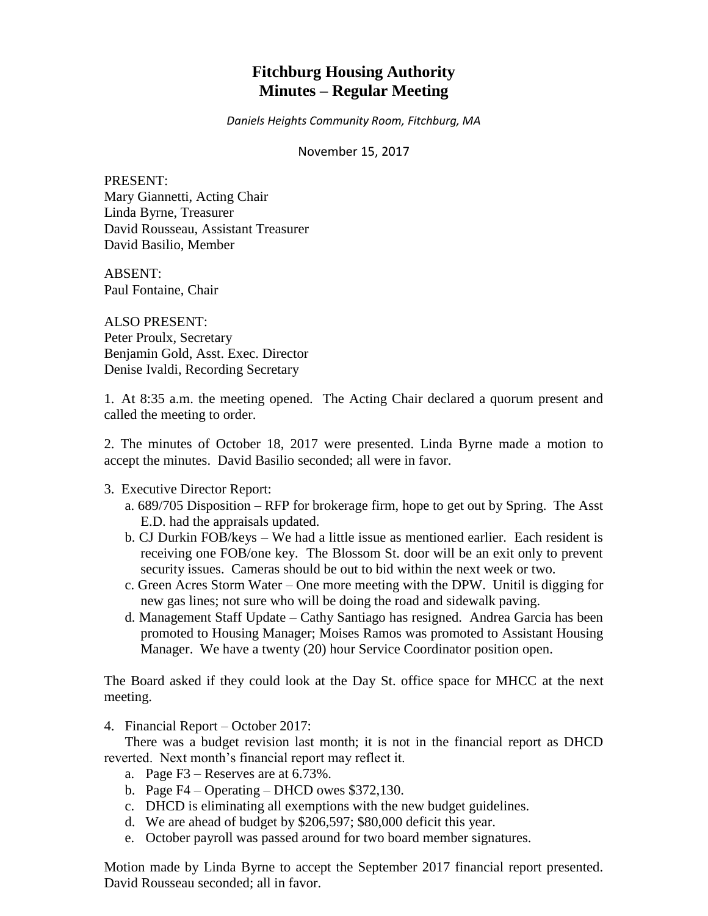# **Fitchburg Housing Authority Minutes – Regular Meeting**

*Daniels Heights Community Room, Fitchburg, MA*

November 15, 2017

PRESENT: Mary Giannetti, Acting Chair Linda Byrne, Treasurer David Rousseau, Assistant Treasurer David Basilio, Member

ABSENT: Paul Fontaine, Chair

ALSO PRESENT: Peter Proulx, Secretary Benjamin Gold, Asst. Exec. Director Denise Ivaldi, Recording Secretary

1. At 8:35 a.m. the meeting opened. The Acting Chair declared a quorum present and called the meeting to order.

2. The minutes of October 18, 2017 were presented. Linda Byrne made a motion to accept the minutes. David Basilio seconded; all were in favor.

# 3. Executive Director Report:

- a. 689/705 Disposition RFP for brokerage firm, hope to get out by Spring. The Asst E.D. had the appraisals updated.
- b. CJ Durkin FOB/keys We had a little issue as mentioned earlier. Each resident is receiving one FOB/one key. The Blossom St. door will be an exit only to prevent security issues. Cameras should be out to bid within the next week or two.
- c. Green Acres Storm Water One more meeting with the DPW. Unitil is digging for new gas lines; not sure who will be doing the road and sidewalk paving.
- d. Management Staff Update Cathy Santiago has resigned. Andrea Garcia has been promoted to Housing Manager; Moises Ramos was promoted to Assistant Housing Manager. We have a twenty (20) hour Service Coordinator position open.

The Board asked if they could look at the Day St. office space for MHCC at the next meeting.

4. Financial Report – October 2017:

There was a budget revision last month; it is not in the financial report as DHCD reverted. Next month's financial report may reflect it.

- a. Page F3 Reserves are at 6.73%.
- b. Page  $F4 Operating DHCP$  owes \$372,130.
- c. DHCD is eliminating all exemptions with the new budget guidelines.
- d. We are ahead of budget by \$206,597; \$80,000 deficit this year.
- e. October payroll was passed around for two board member signatures.

Motion made by Linda Byrne to accept the September 2017 financial report presented. David Rousseau seconded; all in favor.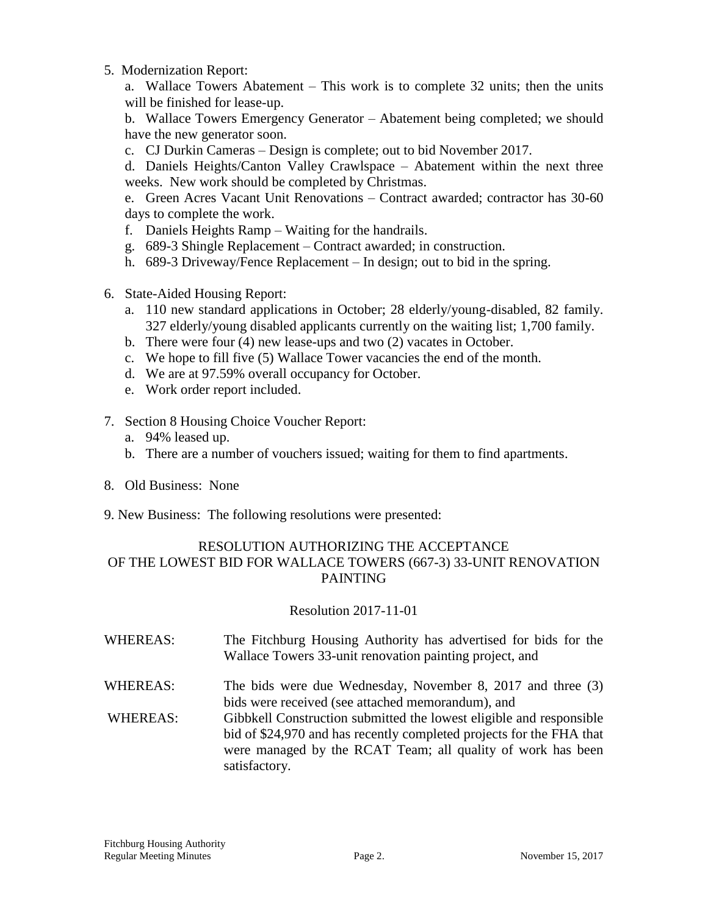5. Modernization Report:

a. Wallace Towers Abatement – This work is to complete 32 units; then the units will be finished for lease-up.

b. Wallace Towers Emergency Generator – Abatement being completed; we should have the new generator soon.

c. CJ Durkin Cameras – Design is complete; out to bid November 2017.

d. Daniels Heights/Canton Valley Crawlspace – Abatement within the next three weeks. New work should be completed by Christmas.

e. Green Acres Vacant Unit Renovations – Contract awarded; contractor has 30-60 days to complete the work.

- f. Daniels Heights Ramp Waiting for the handrails.
- g. 689-3 Shingle Replacement Contract awarded; in construction.
- h. 689-3 Driveway/Fence Replacement In design; out to bid in the spring.
- 6. State-Aided Housing Report:
	- a. 110 new standard applications in October; 28 elderly/young-disabled, 82 family. 327 elderly/young disabled applicants currently on the waiting list; 1,700 family.
	- b. There were four (4) new lease-ups and two (2) vacates in October.
	- c. We hope to fill five (5) Wallace Tower vacancies the end of the month.
	- d. We are at 97.59% overall occupancy for October.
	- e. Work order report included.
- 7. Section 8 Housing Choice Voucher Report:
	- a. 94% leased up.
	- b. There are a number of vouchers issued; waiting for them to find apartments.
- 8. Old Business: None
- 9. New Business: The following resolutions were presented:

# RESOLUTION AUTHORIZING THE ACCEPTANCE OF THE LOWEST BID FOR WALLACE TOWERS (667-3) 33-UNIT RENOVATION PAINTING

# Resolution 2017-11-01

| WHEREAS: | The Fitchburg Housing Authority has advertised for bids for the |
|----------|-----------------------------------------------------------------|
|          | Wallace Towers 33-unit renovation painting project, and         |
|          |                                                                 |

- WHEREAS: The bids were due Wednesday, November 8, 2017 and three (3) bids were received (see attached memorandum), and
- WHEREAS: Gibbkell Construction submitted the lowest eligible and responsible bid of \$24,970 and has recently completed projects for the FHA that were managed by the RCAT Team; all quality of work has been satisfactory.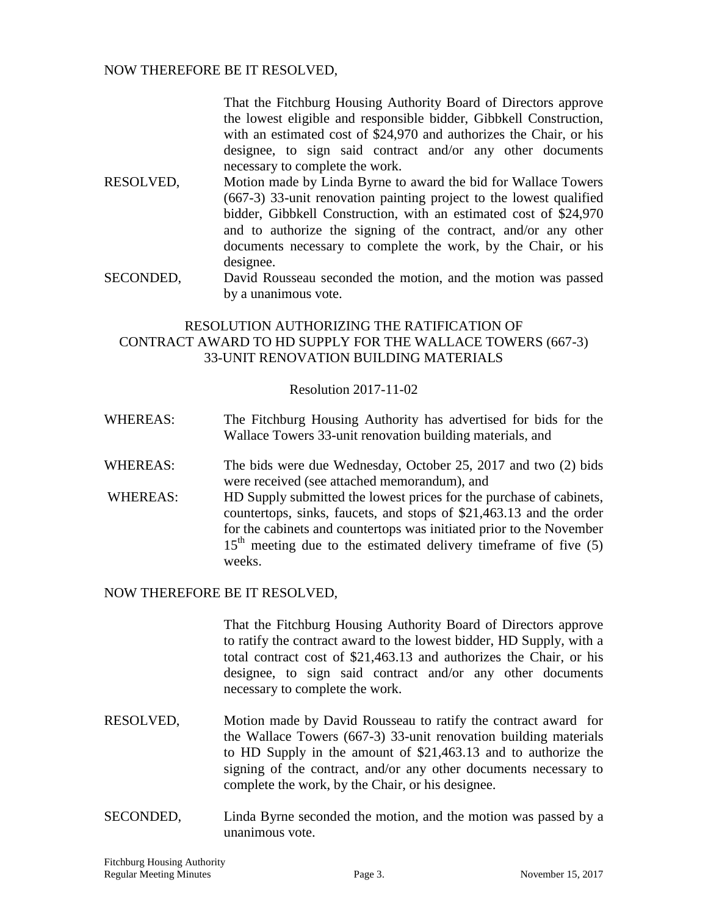# NOW THEREFORE BE IT RESOLVED,

That the Fitchburg Housing Authority Board of Directors approve the lowest eligible and responsible bidder, Gibbkell Construction, with an estimated cost of \$24,970 and authorizes the Chair, or his designee, to sign said contract and/or any other documents necessary to complete the work.

- RESOLVED, Motion made by Linda Byrne to award the bid for Wallace Towers (667-3) 33-unit renovation painting project to the lowest qualified bidder, Gibbkell Construction, with an estimated cost of \$24,970 and to authorize the signing of the contract, and/or any other documents necessary to complete the work, by the Chair, or his designee.
- SECONDED, David Rousseau seconded the motion, and the motion was passed by a unanimous vote.

# RESOLUTION AUTHORIZING THE RATIFICATION OF CONTRACT AWARD TO HD SUPPLY FOR THE WALLACE TOWERS (667-3) 33-UNIT RENOVATION BUILDING MATERIALS

# Resolution 2017-11-02

- WHEREAS: The Fitchburg Housing Authority has advertised for bids for the Wallace Towers 33-unit renovation building materials, and
- WHEREAS: The bids were due Wednesday, October 25, 2017 and two (2) bids were received (see attached memorandum), and
- WHEREAS: HD Supply submitted the lowest prices for the purchase of cabinets, countertops, sinks, faucets, and stops of \$21,463.13 and the order for the cabinets and countertops was initiated prior to the November  $15<sup>th</sup>$  meeting due to the estimated delivery timeframe of five (5) weeks.

# NOW THEREFORE BE IT RESOLVED,

That the Fitchburg Housing Authority Board of Directors approve to ratify the contract award to the lowest bidder, HD Supply, with a total contract cost of \$21,463.13 and authorizes the Chair, or his designee, to sign said contract and/or any other documents necessary to complete the work.

- RESOLVED, Motion made by David Rousseau to ratify the contract award for the Wallace Towers (667-3) 33-unit renovation building materials to HD Supply in the amount of \$21,463.13 and to authorize the signing of the contract, and/or any other documents necessary to complete the work, by the Chair, or his designee.
- SECONDED, Linda Byrne seconded the motion, and the motion was passed by a unanimous vote.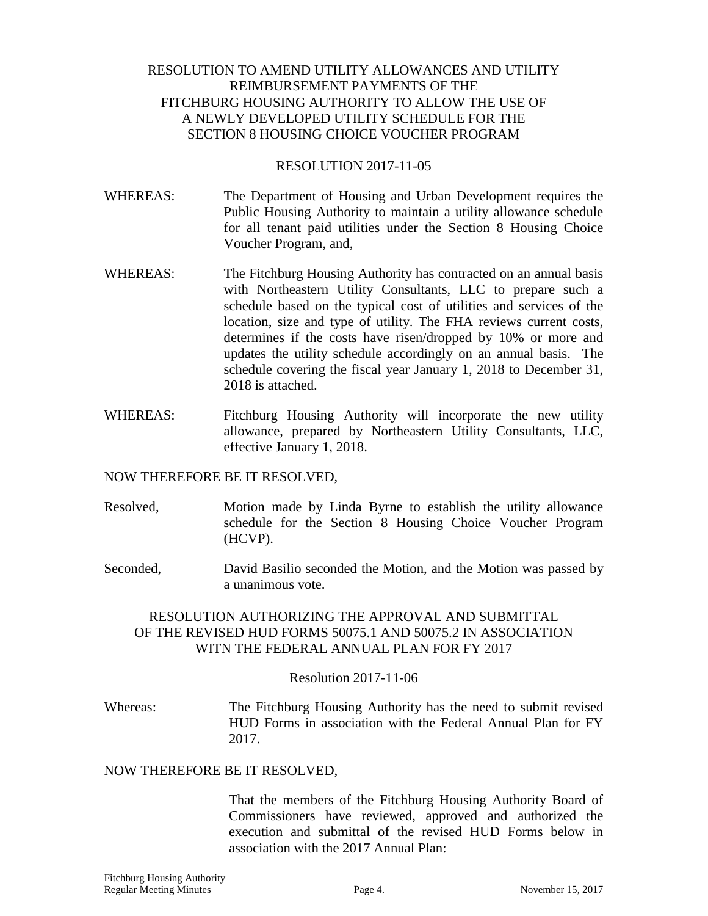# RESOLUTION TO AMEND UTILITY ALLOWANCES AND UTILITY REIMBURSEMENT PAYMENTS OF THE FITCHBURG HOUSING AUTHORITY TO ALLOW THE USE OF A NEWLY DEVELOPED UTILITY SCHEDULE FOR THE SECTION 8 HOUSING CHOICE VOUCHER PROGRAM

#### RESOLUTION 2017-11-05

- WHEREAS: The Department of Housing and Urban Development requires the Public Housing Authority to maintain a utility allowance schedule for all tenant paid utilities under the Section 8 Housing Choice Voucher Program, and,
- WHEREAS: The Fitchburg Housing Authority has contracted on an annual basis with Northeastern Utility Consultants, LLC to prepare such a schedule based on the typical cost of utilities and services of the location, size and type of utility. The FHA reviews current costs, determines if the costs have risen/dropped by 10% or more and updates the utility schedule accordingly on an annual basis. The schedule covering the fiscal year January 1, 2018 to December 31, 2018 is attached.
- WHEREAS: Fitchburg Housing Authority will incorporate the new utility allowance, prepared by Northeastern Utility Consultants, LLC, effective January 1, 2018.

# NOW THEREFORE BE IT RESOLVED,

- Resolved, Motion made by Linda Byrne to establish the utility allowance schedule for the Section 8 Housing Choice Voucher Program (HCVP).
- Seconded, David Basilio seconded the Motion, and the Motion was passed by a unanimous vote.

# RESOLUTION AUTHORIZING THE APPROVAL AND SUBMITTAL OF THE REVISED HUD FORMS 50075.1 AND 50075.2 IN ASSOCIATION WITN THE FEDERAL ANNUAL PLAN FOR FY 2017

# Resolution 2017-11-06

Whereas: The Fitchburg Housing Authority has the need to submit revised HUD Forms in association with the Federal Annual Plan for FY 2017.

#### NOW THEREFORE BE IT RESOLVED,

That the members of the Fitchburg Housing Authority Board of Commissioners have reviewed, approved and authorized the execution and submittal of the revised HUD Forms below in association with the 2017 Annual Plan: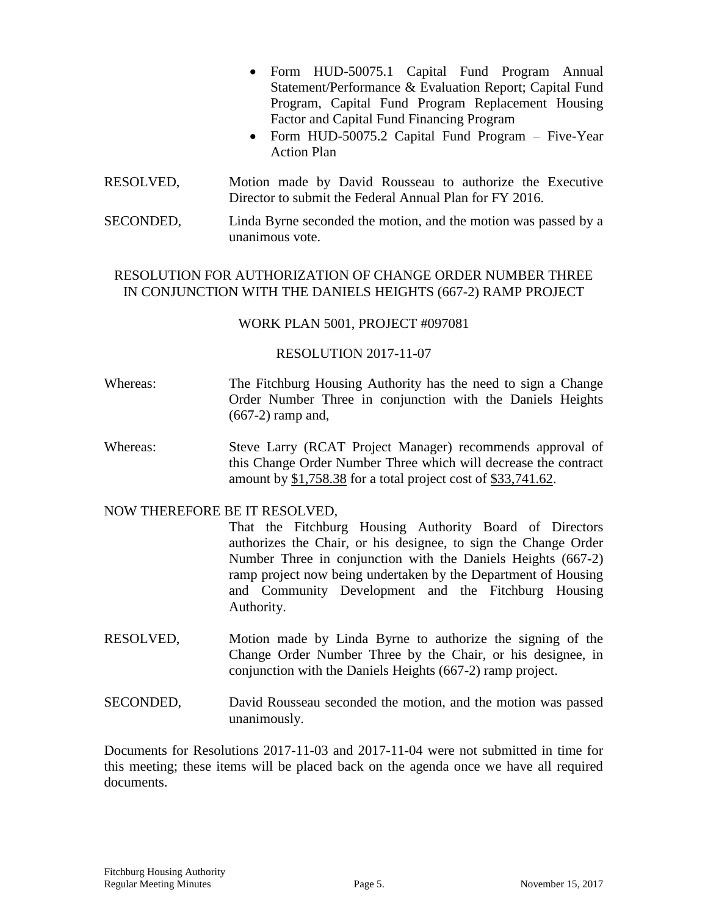- Form HUD-50075.1 Capital Fund Program Annual Statement/Performance & Evaluation Report; Capital Fund Program, Capital Fund Program Replacement Housing Factor and Capital Fund Financing Program
- Form HUD-50075.2 Capital Fund Program Five-Year Action Plan
- RESOLVED, Motion made by David Rousseau to authorize the Executive Director to submit the Federal Annual Plan for FY 2016.
- SECONDED, Linda Byrne seconded the motion, and the motion was passed by a unanimous vote.

# RESOLUTION FOR AUTHORIZATION OF CHANGE ORDER NUMBER THREE IN CONJUNCTION WITH THE DANIELS HEIGHTS (667-2) RAMP PROJECT

# WORK PLAN 5001, PROJECT #097081

# RESOLUTION 2017-11-07

- Whereas: The Fitchburg Housing Authority has the need to sign a Change Order Number Three in conjunction with the Daniels Heights (667-2) ramp and,
- Whereas: Steve Larry (RCAT Project Manager) recommends approval of this Change Order Number Three which will decrease the contract amount by \$1,758.38 for a total project cost of \$33,741.62.

# NOW THEREFORE BE IT RESOLVED,

- That the Fitchburg Housing Authority Board of Directors authorizes the Chair, or his designee, to sign the Change Order Number Three in conjunction with the Daniels Heights (667-2) ramp project now being undertaken by the Department of Housing and Community Development and the Fitchburg Housing Authority.
- RESOLVED, Motion made by Linda Byrne to authorize the signing of the Change Order Number Three by the Chair, or his designee, in conjunction with the Daniels Heights (667-2) ramp project.
- SECONDED, David Rousseau seconded the motion, and the motion was passed unanimously.

Documents for Resolutions 2017-11-03 and 2017-11-04 were not submitted in time for this meeting; these items will be placed back on the agenda once we have all required documents.